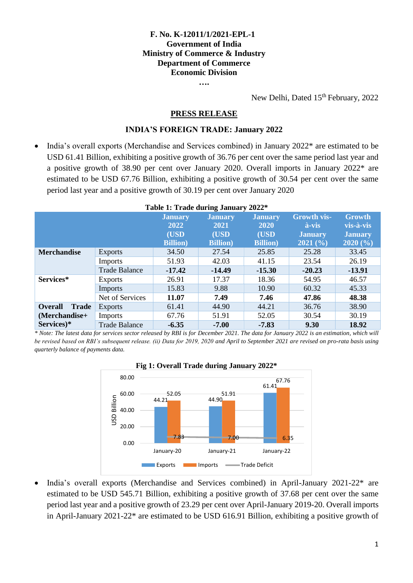## **F. No. K-12011/1/2021-EPL-1 Government of India Ministry of Commerce & Industry Department of Commerce Economic Division**

**….**

New Delhi, Dated 15<sup>th</sup> February, 2022

#### **PRESS RELEASE**

#### **INDIA'S FOREIGN TRADE: January 2022**

 India's overall exports (Merchandise and Services combined) in January 2022\* are estimated to be USD 61.41 Billion, exhibiting a positive growth of 36.76 per cent over the same period last year and a positive growth of 38.90 per cent over January 2020. Overall imports in January 2022\* are estimated to be USD 67.76 Billion, exhibiting a positive growth of 30.54 per cent over the same period last year and a positive growth of 30.19 per cent over January 2020

|                                |                      | <b>Table 1: Trade during January 2022<sup>*</sup></b> |                  |                  |                         |                |
|--------------------------------|----------------------|-------------------------------------------------------|------------------|------------------|-------------------------|----------------|
|                                |                      | <b>January</b>                                        | <b>January</b>   | <b>January</b>   | <b>Growth vis-</b>      | <b>Growth</b>  |
|                                |                      | 2022                                                  | 2021             | <b>2020</b>      | $\mathbf{\hat{a}}$ -vis | vis-à-vis      |
|                                |                      | (USD                                                  | (USD             | (USD)            | <b>January</b>          | <b>January</b> |
|                                |                      | <b>Billion</b> )                                      | <b>Billion</b> ) | <b>Billion</b> ) | 2021(%)                 | 2020(%)        |
| <b>Merchandise</b>             | <b>Exports</b>       | 34.50                                                 | 27.54            | 25.85            | 25.28                   | 33.45          |
|                                | <b>Imports</b>       | 51.93                                                 | 42.03            | 41.15            | 23.54                   | 26.19          |
|                                | <b>Trade Balance</b> | $-17.42$                                              | $-14.49$         | $-15.30$         | $-20.23$                | $-13.91$       |
| Services*                      | <b>Exports</b>       | 26.91                                                 | 17.37            | 18.36            | 54.95                   | 46.57          |
|                                | Imports              | 15.83                                                 | 9.88             | 10.90            | 60.32                   | 45.33          |
|                                | Net of Services      | 11.07                                                 | 7.49             | 7.46             | 47.86                   | 48.38          |
| <b>Trade</b><br><b>Overall</b> | Exports              | 61.41                                                 | 44.90            | 44.21            | 36.76                   | 38.90          |
| (Merchandise+                  | <b>Imports</b>       | 67.76                                                 | 51.91            | 52.05            | 30.54                   | 30.19          |
| Services)*                     | <b>Trade Balance</b> | $-6.35$                                               | $-7.00$          | $-7.83$          | 9.30                    | 18.92          |

#### **Table 1: Trade during January 2022\***

*\* Note: The latest data for services sector released by RBI is for December 2021. The data for January 2022 is an estimation, which will be revised based on RBI's subsequent release. (ii) Data for 2019, 2020 and April to September 2021 are revised on pro-rata basis using quarterly balance of payments data.*





 India's overall exports (Merchandise and Services combined) in April-January 2021-22\* are estimated to be USD 545.71 Billion, exhibiting a positive growth of 37.68 per cent over the same period last year and a positive growth of 23.29 per cent over April-January 2019-20. Overall imports in April-January 2021-22\* are estimated to be USD 616.91 Billion, exhibiting a positive growth of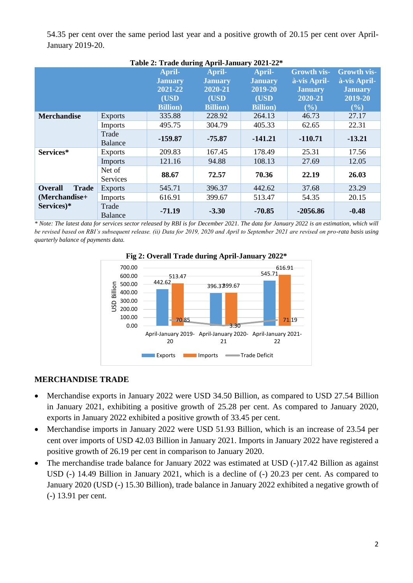54.35 per cent over the same period last year and a positive growth of 20.15 per cent over April-January 2019-20.

| Table 2: Trade during April-January 2021-22* |                           |                                     |                                     |                                     |                                                      |                                                      |
|----------------------------------------------|---------------------------|-------------------------------------|-------------------------------------|-------------------------------------|------------------------------------------------------|------------------------------------------------------|
|                                              |                           | April-<br><b>January</b><br>2021-22 | April-<br><b>January</b><br>2020-21 | April-<br><b>January</b><br>2019-20 | <b>Growth vis-</b><br>à-vis April-<br><b>January</b> | <b>Growth vis-</b><br>à-vis April-<br><b>January</b> |
|                                              |                           | (USD<br><b>Billion</b> )            | (USD<br><b>Billion</b> )            | (USD<br><b>Billion</b> )            | 2020-21<br>(%)                                       | 2019-20<br>(%)                                       |
| <b>Merchandise</b>                           | <b>Exports</b>            | 335.88                              | 228.92                              | 264.13                              | 46.73                                                | 27.17                                                |
|                                              | Imports                   | 495.75                              | 304.79                              | 405.33                              | 62.65                                                | 22.31                                                |
|                                              | Trade<br><b>Balance</b>   | $-159.87$                           | $-75.87$                            | $-141.21$                           | $-110.71$                                            | $-13.21$                                             |
| Services*                                    | <b>Exports</b>            | 209.83                              | 167.45                              | 178.49                              | 25.31                                                | 17.56                                                |
|                                              | Imports                   | 121.16                              | 94.88                               | 108.13                              | 27.69                                                | 12.05                                                |
|                                              | Net of<br><b>Services</b> | 88.67                               | 72.57                               | 70.36                               | 22.19                                                | 26.03                                                |
| <b>Overall</b><br><b>Trade</b>               | <b>Exports</b>            | 545.71                              | 396.37                              | 442.62                              | 37.68                                                | 23.29                                                |
| (Merchandise+                                | <b>Imports</b>            | 616.91                              | 399.67                              | 513.47                              | 54.35                                                | 20.15                                                |
| Services)*                                   | Trade<br><b>Balance</b>   | $-71.19$                            | $-3.30$                             | $-70.85$                            | $-2056.86$                                           | $-0.48$                                              |

Balance **-71.19 -3.30 -70.85 -2056.86 -0.48** *\* Note: The latest data for services sector released by RBI is for December 2021. The data for January 2022 is an estimation, which will* 

*be revised based on RBI's subsequent release. (ii) Data for 2019, 2020 and April to September 2021 are revised on pro-rata basis using quarterly balance of payments data.*



## **Fig 2: Overall Trade during April-January 2022\***

#### **MERCHANDISE TRADE**

- Merchandise exports in January 2022 were USD 34.50 Billion, as compared to USD 27.54 Billion in January 2021, exhibiting a positive growth of 25.28 per cent. As compared to January 2020, exports in January 2022 exhibited a positive growth of 33.45 per cent.
- Merchandise imports in January 2022 were USD 51.93 Billion, which is an increase of 23.54 per cent over imports of USD 42.03 Billion in January 2021. Imports in January 2022 have registered a positive growth of 26.19 per cent in comparison to January 2020.
- The merchandise trade balance for January 2022 was estimated at USD (-)17.42 Billion as against USD (-) 14.49 Billion in January 2021, which is a decline of (-) 20.23 per cent. As compared to January 2020 (USD (-) 15.30 Billion), trade balance in January 2022 exhibited a negative growth of (-) 13.91 per cent.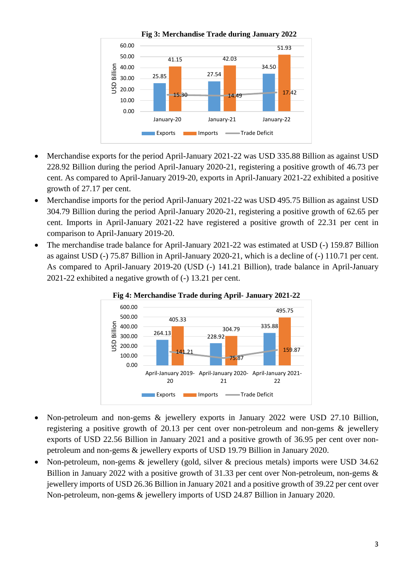

- Merchandise exports for the period April-January 2021-22 was USD 335.88 Billion as against USD 228.92 Billion during the period April-January 2020-21, registering a positive growth of 46.73 per cent. As compared to April-January 2019-20, exports in April-January 2021-22 exhibited a positive growth of 27.17 per cent.
- Merchandise imports for the period April-January 2021-22 was USD 495.75 Billion as against USD 304.79 Billion during the period April-January 2020-21, registering a positive growth of 62.65 per cent. Imports in April-January 2021-22 have registered a positive growth of 22.31 per cent in comparison to April-January 2019-20.
- The merchandise trade balance for April-January 2021-22 was estimated at USD (-) 159.87 Billion as against USD (-) 75.87 Billion in April-January 2020-21, which is a decline of (-) 110.71 per cent. As compared to April-January 2019-20 (USD (-) 141.21 Billion), trade balance in April-January 2021-22 exhibited a negative growth of (-) 13.21 per cent.





- Non-petroleum and non-gems & jewellery exports in January 2022 were USD 27.10 Billion, registering a positive growth of 20.13 per cent over non-petroleum and non-gems & jewellery exports of USD 22.56 Billion in January 2021 and a positive growth of 36.95 per cent over nonpetroleum and non-gems & jewellery exports of USD 19.79 Billion in January 2020.
- Non-petroleum, non-gems & jewellery (gold, silver & precious metals) imports were USD 34.62 Billion in January 2022 with a positive growth of 31.33 per cent over Non-petroleum, non-gems & jewellery imports of USD 26.36 Billion in January 2021 and a positive growth of 39.22 per cent over Non-petroleum, non-gems & jewellery imports of USD 24.87 Billion in January 2020.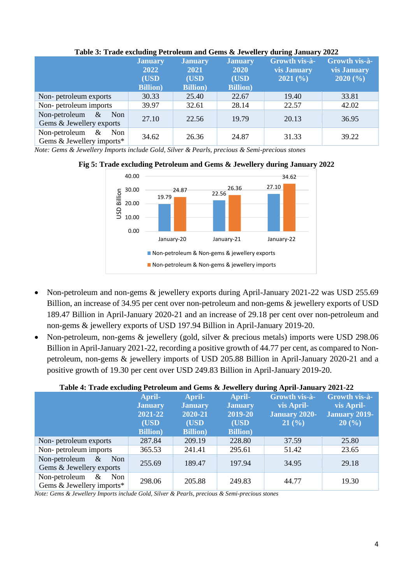| There is there existending a coronal manufacture of $\sigma$ of $\sigma$ and $\sigma$ and $\sigma$ $\sigma$ and $\sigma$ |                                                    |                                                           |                                                           |                                                |                                                |
|--------------------------------------------------------------------------------------------------------------------------|----------------------------------------------------|-----------------------------------------------------------|-----------------------------------------------------------|------------------------------------------------|------------------------------------------------|
|                                                                                                                          | <b>January</b><br>2022<br>(USD<br><b>Billion</b> ) | <b>January</b><br><b>2021</b><br>(USD<br><b>Billion</b> ) | <b>January</b><br><b>2020</b><br>(USD<br><b>Billion</b> ) | Growth vis-à-<br><b>vis January</b><br>2021(%) | Growth vis-à-<br><b>vis January</b><br>2020(%) |
| Non-petroleum exports                                                                                                    | 30.33                                              | 25.40                                                     | 22.67                                                     | 19.40                                          | 33.81                                          |
| Non-petroleum imports                                                                                                    | 39.97                                              | 32.61                                                     | 28.14                                                     | 22.57                                          | 42.02                                          |
| Non-petroleum $\&$<br>Non<br>Gems & Jewellery exports                                                                    | 27.10                                              | 22.56                                                     | 19.79                                                     | 20.13                                          | 36.95                                          |
| Non-petroleum $\&$<br>Non<br>Gems $&$ Jewellery imports*                                                                 | 34.62                                              | 26.36                                                     | 24.87                                                     | 31.33                                          | 39.22                                          |

### **Table 3: Trade excluding Petroleum and Gems & Jewellery during January 2022**

*Note: Gems & Jewellery Imports include Gold, Silver & Pearls, precious & Semi-precious stones*



# **Fig 5: Trade excluding Petroleum and Gems & Jewellery during January 2022**

- Non-petroleum and non-gems & jewellery exports during April-January 2021-22 was USD 255.69 Billion, an increase of 34.95 per cent over non-petroleum and non-gems & jewellery exports of USD 189.47 Billion in April-January 2020-21 and an increase of 29.18 per cent over non-petroleum and non-gems & jewellery exports of USD 197.94 Billion in April-January 2019-20.
- Non-petroleum, non-gems & jewellery (gold, silver & precious metals) imports were USD 298.06 Billion in April-January 2021-22, recording a positive growth of 44.77 per cent, as compared to Nonpetroleum, non-gems & jewellery imports of USD 205.88 Billion in April-January 2020-21 and a positive growth of 19.30 per cent over USD 249.83 Billion in April-January 2019-20.

## **Table 4: Trade excluding Petroleum and Gems & Jewellery during April-January 2021-22**

|                                                           | April-           | April-           | April-           | Growth vis-à-        | Growth vis-à-        |
|-----------------------------------------------------------|------------------|------------------|------------------|----------------------|----------------------|
|                                                           | <b>January</b>   | <b>January</b>   | <b>January</b>   | vis April-           | vis April-           |
|                                                           | 2021-22          | 2020-21          | 2019-20          | <b>January 2020-</b> | <b>January 2019-</b> |
|                                                           | (USD             | (USD             | (USD             | 21(%)                | 20(%)                |
|                                                           | <b>Billion</b> ) | <b>Billion</b> ) | <b>Billion</b> ) |                      |                      |
| Non-petroleum exports                                     | 287.84           | 209.19           | 228.80           | 37.59                | 25.80                |
| Non-petroleum imports                                     | 365.53           | 241.41           | 295.61           | 51.42                | 23.65                |
| Non-petroleum $\&$<br>Non<br>Gems & Jewellery exports     | 255.69           | 189.47           | 197.94           | 34.95                | 29.18                |
| Non-petroleum<br>$\&$<br>Non<br>Gems & Jewellery imports* | 298.06           | 205.88           | 249.83           | 44.77                | 19.30                |

*Note: Gems & Jewellery Imports include Gold, Silver & Pearls, precious & Semi-precious stones*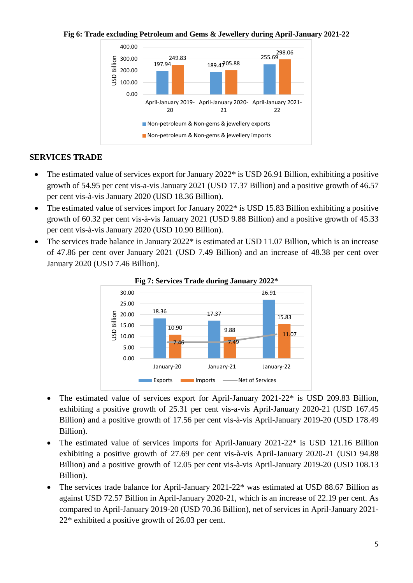#### **Fig 6: Trade excluding Petroleum and Gems & Jewellery during April-January 2021-22**



# **SERVICES TRADE**

- The estimated value of services export for January 2022<sup>\*</sup> is USD 26.91 Billion, exhibiting a positive growth of 54.95 per cent vis-a-vis January 2021 (USD 17.37 Billion) and a positive growth of 46.57 per cent vis-à-vis January 2020 (USD 18.36 Billion).
- The estimated value of services import for January 2022<sup>\*</sup> is USD 15.83 Billion exhibiting a positive growth of 60.32 per cent vis-à-vis January 2021 (USD 9.88 Billion) and a positive growth of 45.33 per cent vis-à-vis January 2020 (USD 10.90 Billion).
- The services trade balance in January 2022\* is estimated at USD 11.07 Billion, which is an increase of 47.86 per cent over January 2021 (USD 7.49 Billion) and an increase of 48.38 per cent over January 2020 (USD 7.46 Billion).



**Fig 7: Services Trade during January 2022\***

- The estimated value of services export for April-January 2021-22<sup>\*</sup> is USD 209.83 Billion, exhibiting a positive growth of 25.31 per cent vis-a-vis April-January 2020-21 (USD 167.45 Billion) and a positive growth of 17.56 per cent vis-à-vis April-January 2019-20 (USD 178.49 Billion).
- The estimated value of services imports for April-January 2021-22\* is USD 121.16 Billion exhibiting a positive growth of 27.69 per cent vis-à-vis April-January 2020-21 (USD 94.88 Billion) and a positive growth of 12.05 per cent vis-à-vis April-January 2019-20 (USD 108.13 Billion).
- The services trade balance for April-January 2021-22\* was estimated at USD 88.67 Billion as against USD 72.57 Billion in April-January 2020-21, which is an increase of 22.19 per cent. As compared to April-January 2019-20 (USD 70.36 Billion), net of services in April-January 2021- 22\* exhibited a positive growth of 26.03 per cent.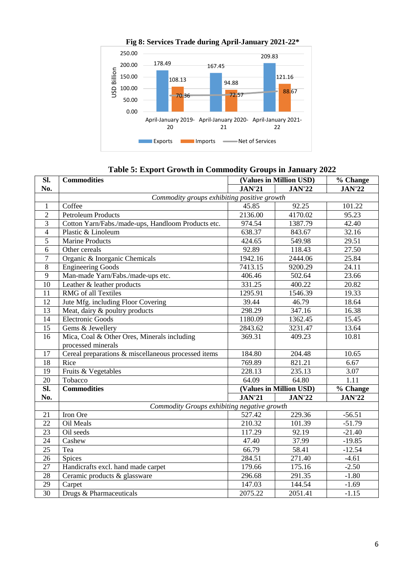

**Fig 8: Services Trade during April-January 2021-22\***

**Table 5: Export Growth in Commodity Groups in January 2022**

| SI.                      | <b>Commodities</b>                                                |               | (Values in Million USD) |                   |  |  |  |  |
|--------------------------|-------------------------------------------------------------------|---------------|-------------------------|-------------------|--|--|--|--|
| No.                      |                                                                   | <b>JAN'21</b> | <b>JAN'22</b>           | <b>JAN'22</b>     |  |  |  |  |
|                          | Commodity groups exhibiting positive growth                       |               |                         |                   |  |  |  |  |
| 1                        | Coffee                                                            | 45.85         | 92.25                   | 101.22            |  |  |  |  |
| $\overline{2}$           | <b>Petroleum Products</b>                                         | 2136.00       | 4170.02                 | 95.23             |  |  |  |  |
| 3                        | Cotton Yarn/Fabs./made-ups, Handloom Products etc.                | 974.54        | 1387.79                 | 42.40             |  |  |  |  |
| $\overline{\mathcal{A}}$ | Plastic & Linoleum                                                | 638.37        | 843.67                  | 32.16             |  |  |  |  |
| 5                        | <b>Marine Products</b>                                            | 424.65        | 549.98                  | 29.51             |  |  |  |  |
| 6                        | Other cereals                                                     | 92.89         | 118.43                  | 27.50             |  |  |  |  |
| $\boldsymbol{7}$         | Organic & Inorganic Chemicals                                     | 1942.16       | 2444.06                 | 25.84             |  |  |  |  |
| 8                        | <b>Engineering Goods</b>                                          | 7413.15       | 9200.29                 | 24.11             |  |  |  |  |
| 9                        | Man-made Yarn/Fabs./made-ups etc.                                 | 406.46        | 502.64                  | 23.66             |  |  |  |  |
| 10                       | Leather & leather products                                        | 331.25        | 400.22                  | 20.82             |  |  |  |  |
| 11                       | RMG of all Textiles                                               | 1295.91       | 1546.39                 | 19.33             |  |  |  |  |
| 12                       | Jute Mfg. including Floor Covering                                | 39.44         | 46.79                   | 18.64             |  |  |  |  |
| 13                       | Meat, dairy & poultry products                                    | 298.29        | 347.16                  | 16.38             |  |  |  |  |
| 14                       | <b>Electronic Goods</b>                                           | 1180.09       | 1362.45                 | 15.45             |  |  |  |  |
| 15                       | Gems & Jewellery                                                  | 2843.62       | 3231.47                 | 13.64             |  |  |  |  |
| 16                       | Mica, Coal & Other Ores, Minerals including<br>processed minerals | 369.31        | 409.23                  | 10.81             |  |  |  |  |
| 17                       | Cereal preparations & miscellaneous processed items               | 184.80        | 204.48                  | 10.65             |  |  |  |  |
| 18                       | Rice                                                              | 769.89        | 821.21                  | 6.67              |  |  |  |  |
| 19                       | Fruits & Vegetables                                               | 228.13        | 235.13                  | 3.07              |  |  |  |  |
| 20                       | Tobacco                                                           | 64.09         | 64.80                   | $\overline{1.11}$ |  |  |  |  |
| $\overline{\text{SL}}$   | <b>Commodities</b>                                                |               | (Values in Million USD) |                   |  |  |  |  |
| No.                      |                                                                   | <b>JAN'21</b> | <b>JAN'22</b>           | <b>JAN'22</b>     |  |  |  |  |
|                          | Commodity Groups exhibiting negative growth                       |               |                         |                   |  |  |  |  |
| 21                       | Iron Ore                                                          | 527.42        | 229.36                  | $-56.51$          |  |  |  |  |
| 22                       | Oil Meals                                                         | 210.32        | 101.39                  | $-51.79$          |  |  |  |  |
| $\overline{23}$          | Oil seeds                                                         | 117.29        | 92.19                   | $-21.40$          |  |  |  |  |
| 24                       | Cashew                                                            | 47.40         | 37.99                   | $-19.85$          |  |  |  |  |
| 25                       | Tea                                                               | 66.79         | 58.41                   | $-12.54$          |  |  |  |  |
| 26                       | Spices                                                            | 284.51        | 271.40                  | $-4.61$           |  |  |  |  |
| 27                       | Handicrafts excl. hand made carpet                                | 179.66        | 175.16                  | $-2.50$           |  |  |  |  |
| 28                       | Ceramic products & glassware                                      | 296.68        | 291.35                  | $-1.80$           |  |  |  |  |
| $\overline{29}$          | Carpet                                                            | 147.03        | 144.54                  | $-1.69$           |  |  |  |  |
| $\overline{30}$          | Drugs & Pharmaceuticals                                           | 2075.22       | 2051.41                 | $-1.15$           |  |  |  |  |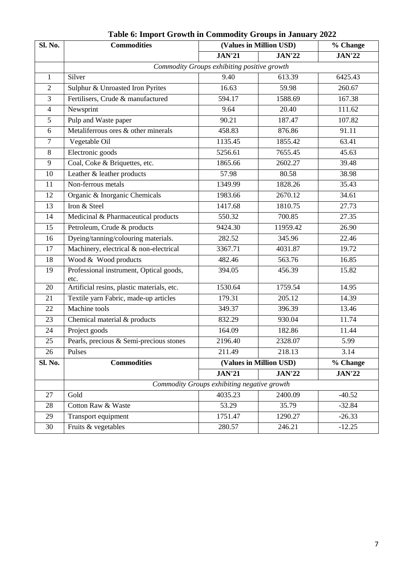| Sl. No.        | <b>Commodities</b>                              | (Values in Million USD) |               | % Change      |  |  |
|----------------|-------------------------------------------------|-------------------------|---------------|---------------|--|--|
|                |                                                 | <b>JAN'21</b>           | <b>JAN'22</b> | <b>JAN'22</b> |  |  |
|                | Commodity Groups exhibiting positive growth     |                         |               |               |  |  |
| $\mathbf{1}$   | Silver                                          | 9.40                    | 613.39        | 6425.43       |  |  |
| $\overline{2}$ | Sulphur & Unroasted Iron Pyrites                | 16.63                   | 59.98         | 260.67        |  |  |
| $\overline{3}$ | Fertilisers, Crude & manufactured               | 594.17                  | 1588.69       | 167.38        |  |  |
| $\overline{4}$ | Newsprint                                       | 9.64                    | 20.40         | 111.62        |  |  |
| 5              | Pulp and Waste paper                            | 90.21                   | 187.47        | 107.82        |  |  |
| 6              | Metaliferrous ores & other minerals             | 458.83                  | 876.86        | 91.11         |  |  |
| $\overline{7}$ | Vegetable Oil                                   | 1135.45                 | 1855.42       | 63.41         |  |  |
| 8              | Electronic goods                                | 5256.61                 | 7655.45       | 45.63         |  |  |
| 9              | Coal, Coke & Briquettes, etc.                   | 1865.66                 | 2602.27       | 39.48         |  |  |
| 10             | Leather & leather products                      | 57.98                   | 80.58         | 38.98         |  |  |
| 11             | Non-ferrous metals                              | 1349.99                 | 1828.26       | 35.43         |  |  |
| 12             | Organic & Inorganic Chemicals                   | 1983.66                 | 2670.12       | 34.61         |  |  |
| 13             | Iron & Steel                                    | 1417.68                 | 1810.75       | 27.73         |  |  |
| 14             | Medicinal & Pharmaceutical products             | 550.32                  | 700.85        | 27.35         |  |  |
| 15             | Petroleum, Crude & products                     | 9424.30                 | 11959.42      | 26.90         |  |  |
| 16             | Dyeing/tanning/colouring materials.             | 282.52                  | 345.96        | 22.46         |  |  |
| 17             | Machinery, electrical & non-electrical          | 3367.71                 | 4031.87       | 19.72         |  |  |
| 18             | Wood & Wood products                            | 482.46                  | 563.76        | 16.85         |  |  |
| 19             | Professional instrument, Optical goods,<br>etc. | 394.05                  | 456.39        | 15.82         |  |  |
| 20             | Artificial resins, plastic materials, etc.      | 1530.64                 | 1759.54       | 14.95         |  |  |
| 21             | Textile yarn Fabric, made-up articles           | 179.31                  | 205.12        | 14.39         |  |  |
| 22             | Machine tools                                   | 349.37                  | 396.39        | 13.46         |  |  |
| 23             | Chemical material & products                    | 832.29                  | 930.04        | 11.74         |  |  |
| 24             | Project goods                                   | 164.09                  | 182.86        | 11.44         |  |  |
| 25             | Pearls, precious & Semi-precious stones         | 2196.40                 | 2328.07       | 5.99          |  |  |
| 26             | Pulses                                          | $\overline{211.49}$     | 218.13        | 3.14          |  |  |
| Sl. No.        | <b>Commodities</b>                              | (Values in Million USD) |               | % Change      |  |  |
|                |                                                 | <b>JAN'21</b>           | <b>JAN'22</b> | <b>JAN'22</b> |  |  |
|                | Commodity Groups exhibiting negative growth     |                         |               |               |  |  |
| 27             | Gold                                            | 4035.23                 | 2400.09       | $-40.52$      |  |  |
| 28             | Cotton Raw & Waste                              | 53.29                   | 35.79         | $-32.84$      |  |  |
| 29             | Transport equipment                             | 1751.47                 | 1290.27       | $-26.33$      |  |  |
| 30             | Fruits & vegetables                             | 280.57                  | 246.21        | $-12.25$      |  |  |

**Table 6: Import Growth in Commodity Groups in January 2022**